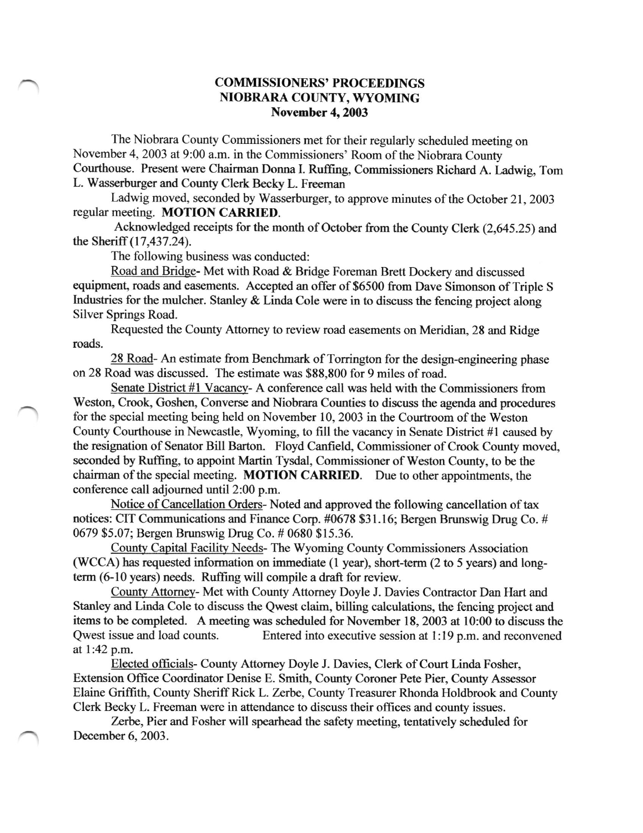## COMMISSIONERS' PROCEEDINGS NIOBRARA COUNTY, WYOMING November 4, 2003

The Niobrara County Commissioners met for their regularly scheduled meeting on November 4, 2003 at 9:00 a.m. in the Commissioners' Room of the Niobrara County Courthouse. Present were Chairrnan Dorura I. Ruffrng, Commissioners Richard A. Ladwig, Tom L. Wasserburger and County Clerk Becky L. Freeman

Ladwig moved, seconded by Wasserburger, to approve minutes of the October 21, 2003 regular meeting. MOTION CARRIED.

Acknowledged receipts for the month of October from the County Clerk (2,645.25) and the Sheriff  $(17, 437, 24)$ .

The following business was conducted:

Road and Bridqe- Met with Road & Bridge Foreman Brett Dockery and discussed equipment, roads and easements. Accepted an offer of \$6500 from Dave Simonson of Triple S Industries for the mulcher. Stanley & Linda Cole were in to discuss the fencing project along Silver Springs Road.

Requested the County Attomey to review road easements on Meridian, 28 and Ridge roads.

28 Road- An estimate from Benchmark of Torrington for the design-engineering phase on 28 Road was discussed. The estimate was \$88,800 for 9 miles of road.

Senate District #l Vacancy- A conference call was held with the Commissioners from Weston, Crook, Goshen, Converse and Niobrara Counties to discuss the agenda and procedures for the special meeting being held on November 10, 2003 in the Courtroom of the Weston County Courthouse in Newcastle, Wyoming, to fill the vacancy in Senate District #1 caused by the resignation of Senator Bill Barton. Floyd Canfreld, Commissioner of Crook County moved, seconded by Ruffing, to appoint Martin Tysdal, Commissioner of Weston County, to be the chairman of the special meeting. MOTION CARRIED. Due to other appointments, the conference call adjourned until 2:00 p.m.

Notice of Cancellation Orders- Noted and approved the following cancellation of tax notices: CIT Communications and Finance Corp. #0678 \$31.16; Bergen Brunswig Drug Co. # 0679 \$5.07; Bergen Brunswig Drug Co. # 0680 \$15.36.

Countv Capital Facilitv Needs- The Wyoming County Commissioners Association (WCCA) has requested information on immediate (1 year), short-term (2 to 5 years) and longterm (6-10 years) needs. Ruffing will compile a draft for review.

Countv Attomey- Met with County Attorney Doyle J. Davies Contractor Dan Hart and Stanley and Linda Cole to discuss the Qwest claim, billing calculations, the fencing proiect and items to be completed. A meeting was scheduled for November 18, 2003 at 10:00 to discuss the Qwest issue and load counts. Entered into executive session at 1:19 p.m. and reconvened at l:42 p.m.

Elected officials- County Attomey Doyle J. Davies, Clerk of Court Linda Fosher, Extension Office Coordinator Denise E. Smith, County Coroner Pete Pier, County Assessor Elaine Griffith, County Sheriff Rick L. Zerbe, County Treasurer Rhonda Holdbrook and County Clerk Becky L. Freeman were in attendance to discuss their offices and county issues.

Zerbe, Pier and Fosher will spearhead the safety meeting, tentatively scheduled for December 6, 2003.